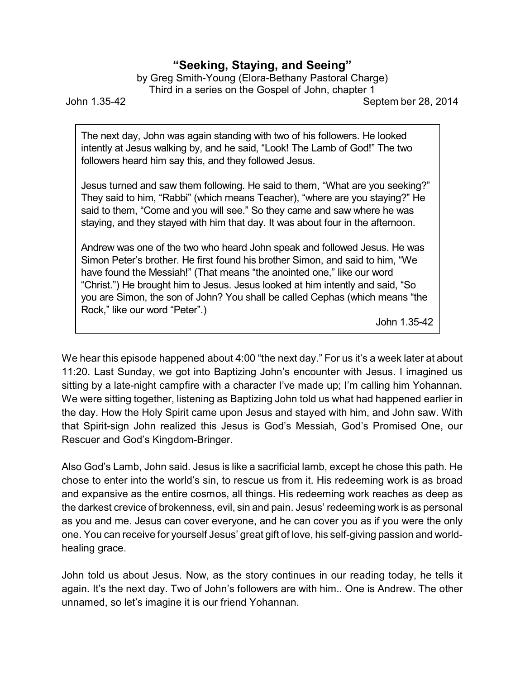## **"Seeking, Staying, and Seeing"**

by Greg Smith-Young (Elora-Bethany Pastoral Charge) Third in a series on the Gospel of John, chapter 1

John 1.35-42 Septem ber 28, 2014

The next day, John was again standing with two of his followers. He looked intently at Jesus walking by, and he said, "Look! The Lamb of God!" The two followers heard him say this, and they followed Jesus.

Jesus turned and saw them following. He said to them, "What are you seeking?" They said to him, "Rabbi" (which means Teacher), "where are you staying?" He said to them, "Come and you will see." So they came and saw where he was staying, and they stayed with him that day. It was about four in the afternoon.

Andrew was one of the two who heard John speak and followed Jesus. He was Simon Peter's brother. He first found his brother Simon, and said to him, "We have found the Messiah!" (That means "the anointed one," like our word "Christ.") He brought him to Jesus. Jesus looked at him intently and said, "So you are Simon, the son of John? You shall be called Cephas (which means "the Rock," like our word "Peter".)

John 1.35-42

We hear this episode happened about 4:00 "the next day." For us it's a week later at about 11:20. Last Sunday, we got into Baptizing John's encounter with Jesus. I imagined us sitting by a late-night campfire with a character I've made up; I'm calling him Yohannan. We were sitting together, listening as Baptizing John told us what had happened earlier in the day. How the Holy Spirit came upon Jesus and stayed with him, and John saw. With that Spirit-sign John realized this Jesus is God's Messiah, God's Promised One, our Rescuer and God's Kingdom-Bringer.

Also God's Lamb, John said. Jesus is like a sacrificial lamb, except he chose this path. He chose to enter into the world's sin, to rescue us from it. His redeeming work is as broad and expansive as the entire cosmos, all things. His redeeming work reaches as deep as the darkest crevice of brokenness, evil, sin and pain. Jesus' redeeming work is as personal as you and me. Jesus can cover everyone, and he can cover you as if you were the only one. You can receive for yourself Jesus' great gift of love, his self-giving passion and worldhealing grace.

John told us about Jesus. Now, as the story continues in our reading today, he tells it again. It's the next day. Two of John's followers are with him.. One is Andrew. The other unnamed, so let's imagine it is our friend Yohannan.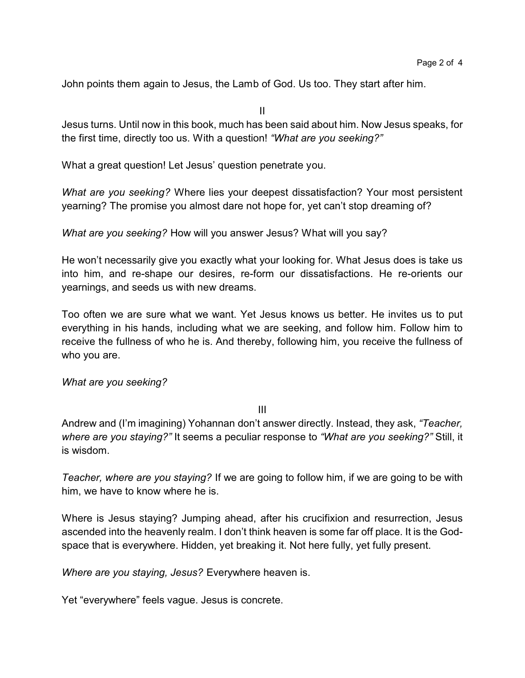John points them again to Jesus, the Lamb of God. Us too. They start after him.

II

Jesus turns. Until now in this book, much has been said about him. Now Jesus speaks, for the first time, directly too us. With a question! *"What are you seeking?"*

What a great question! Let Jesus' question penetrate you.

*What are you seeking?* Where lies your deepest dissatisfaction? Your most persistent yearning? The promise you almost dare not hope for, yet can't stop dreaming of?

*What are you seeking?* How will you answer Jesus? What will you say?

He won't necessarily give you exactly what your looking for. What Jesus does is take us into him, and re-shape our desires, re-form our dissatisfactions. He re-orients our yearnings, and seeds us with new dreams.

Too often we are sure what we want. Yet Jesus knows us better. He invites us to put everything in his hands, including what we are seeking, and follow him. Follow him to receive the fullness of who he is. And thereby, following him, you receive the fullness of who you are.

*What are you seeking?*

III

Andrew and (I'm imagining) Yohannan don't answer directly. Instead, they ask, *"Teacher, where are you staying?"* It seems a peculiar response to *"What are you seeking?"* Still, it is wisdom.

*Teacher, where are you staying?* If we are going to follow him, if we are going to be with him, we have to know where he is.

Where is Jesus staying? Jumping ahead, after his crucifixion and resurrection, Jesus ascended into the heavenly realm. I don't think heaven is some far off place. It is the Godspace that is everywhere. Hidden, yet breaking it. Not here fully, yet fully present.

*Where are you staying, Jesus?* Everywhere heaven is.

Yet "everywhere" feels vague. Jesus is concrete.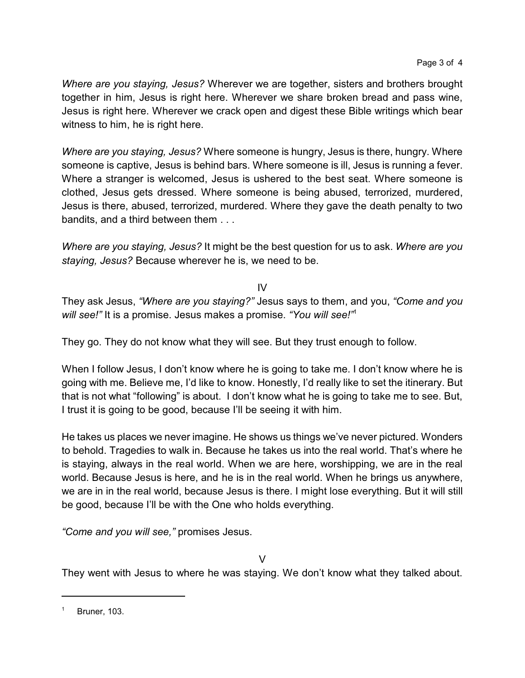*Where are you staying, Jesus?* Wherever we are together, sisters and brothers brought together in him, Jesus is right here. Wherever we share broken bread and pass wine, Jesus is right here. Wherever we crack open and digest these Bible writings which bear witness to him, he is right here.

*Where are you staying, Jesus?* Where someone is hungry, Jesus is there, hungry. Where someone is captive, Jesus is behind bars. Where someone is ill, Jesus is running a fever. Where a stranger is welcomed, Jesus is ushered to the best seat. Where someone is clothed, Jesus gets dressed. Where someone is being abused, terrorized, murdered, Jesus is there, abused, terrorized, murdered. Where they gave the death penalty to two bandits, and a third between them . . .

*Where are you staying, Jesus?* It might be the best question for us to ask. *Where are you staying, Jesus?* Because wherever he is, we need to be.

## IV

They ask Jesus, *"Where are you staying?"* Jesus says to them, and you, *"Come and you will see!"* It is a promise. Jesus makes a promise. *"You will see!"*<sup>1</sup>

They go. They do not know what they will see. But they trust enough to follow.

When I follow Jesus, I don't know where he is going to take me. I don't know where he is going with me. Believe me, I'd like to know. Honestly, I'd really like to set the itinerary. But that is not what "following" is about. I don't know what he is going to take me to see. But, I trust it is going to be good, because I'll be seeing it with him.

He takes us places we never imagine. He shows us things we've never pictured. Wonders to behold. Tragedies to walk in. Because he takes us into the real world. That's where he is staying, always in the real world. When we are here, worshipping, we are in the real world. Because Jesus is here, and he is in the real world. When he brings us anywhere, we are in in the real world, because Jesus is there. I might lose everything. But it will still be good, because I'll be with the One who holds everything.

*"Come and you will see,"* promises Jesus.

 $\sqrt{ }$ 

They went with Jesus to where he was staying. We don't know what they talked about.

Bruner, 103.